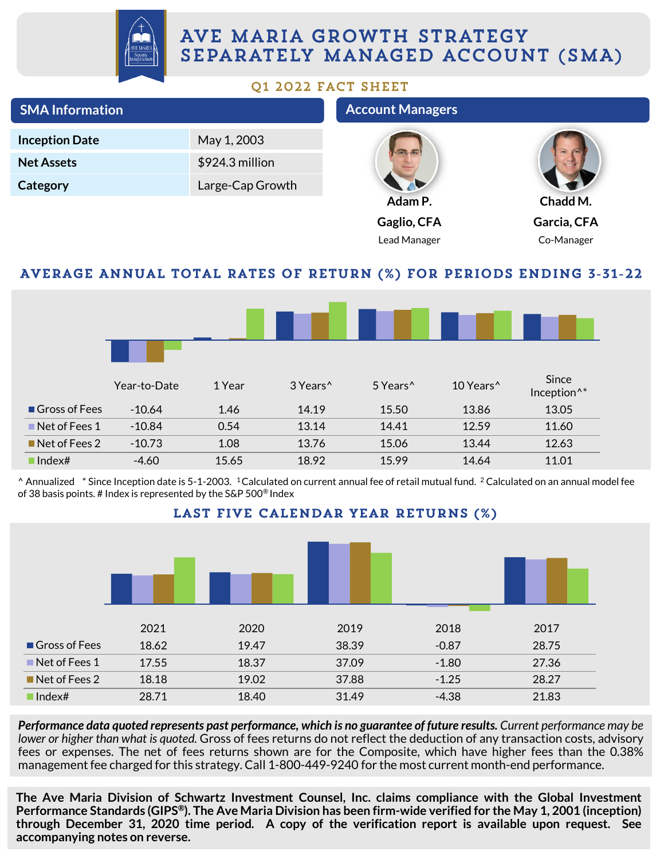

# AVE MARIA GROWTH STRATEGY SEPARATELY MANAGED ACCOUNT (SMA)

#### 01 2022 FACT SHEET

| <b>SMA Information</b> |              |                  |                      | <b>Account Managers</b> |                       |                                                                            |  |
|------------------------|--------------|------------------|----------------------|-------------------------|-----------------------|----------------------------------------------------------------------------|--|
| <b>Inception Date</b>  |              | May 1, 2003      |                      |                         |                       |                                                                            |  |
| <b>Net Assets</b>      |              | \$924.3 million  |                      |                         |                       |                                                                            |  |
| Category               |              | Large-Cap Growth |                      |                         |                       |                                                                            |  |
|                        |              |                  |                      | Adam P.                 |                       | Chadd M.                                                                   |  |
|                        |              |                  |                      | Gaglio, CFA             |                       | Garcia, CFA                                                                |  |
|                        |              |                  |                      | Lead Manager            |                       | Co-Manager                                                                 |  |
|                        |              |                  |                      |                         |                       |                                                                            |  |
|                        |              |                  |                      |                         |                       | <b>AVERAGE ANNUAL TOTAL RATES OF RETURN (%) FOR PERIODS ENDING 3-31-22</b> |  |
|                        |              |                  |                      |                         |                       |                                                                            |  |
|                        |              |                  |                      |                         |                       |                                                                            |  |
|                        |              |                  |                      |                         |                       |                                                                            |  |
|                        |              |                  |                      |                         |                       |                                                                            |  |
|                        | Year-to-Date | 1 Year           | 3 Years <sup>^</sup> | 5 Years <sup>^</sup>    | 10 Years <sup>^</sup> | Since<br>Inception <sup>^*</sup>                                           |  |
| Gross of Fees          | $-10.64$     | 1.46             | 14.19                | 15.50                   | 13.86                 | 13.05                                                                      |  |
| Net of Fees 1          | $-10.84$     | 0.54             | 13.14                | 14.41                   | 12.59                 | 11.60                                                                      |  |
| Net of Fees 2          | $-10.73$     | 1.08             | 13.76                | 15.06                   | 13.44                 | 12.63                                                                      |  |
| $\blacksquare$ Index#  | $-4.60$      | 15.65            | 18.92                | 15.99                   | 14.64                 | 11.01                                                                      |  |

 $^{\circ}$  Annualized  $^*$  Since Inception date is 5-1-2003. <sup>1</sup>Calculated on current annual fee of retail mutual fund. <sup>2</sup> Calculated on an annual model fee of 38 basis points. # Index is represented by the S&P 500® Index



Performance data quoted represents past performance, which is no guarantee of future results. Current performance may be *lower or higher than what is quoted.* Gross of fees returns do not reflect the deduction of any transaction costs, advisory fees or expenses. The net of fees returns shown are for the Composite, which have higher fees than the 0.38% management fee charged for this strategy. Call 1-800-449-9240 for the most current month-end performance.

**The Ave Maria Division of Schwartz Investment Counsel, Inc. claims compliance with the Global Investment** Performance Standards (GIPS®). The Ave Maria Division has been firm-wide verified for the May 1, 2001 (inception) **through December 31, 2020 time period. A copy of the verification report is available upon request. See accompanying notes on reverse.**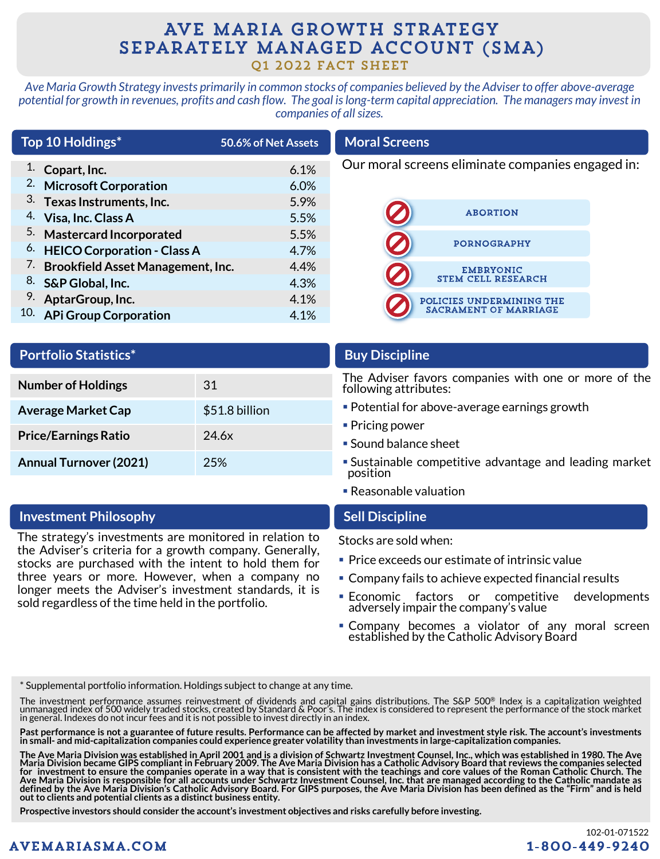## AVE MARIA GROWTH STRATEGY SEPARATELY MANAGED ACCOUNT (SMA) Q1 2022 FACT SHEET

*Ave Maria Growth Strategy invests primarily in common stocks of companies believed by the Adviser to offer above-average potential for growth in revenues, profits and cash flow. The goal is long-term capital appreciation. The managers may invest in companies of all sizes.*

| Our moral screens eliminate companies engaged in:<br>1.<br>Copart, Inc.<br>6.1% |  |
|---------------------------------------------------------------------------------|--|
| 2.<br><b>Microsoft Corporation</b><br>6.0%                                      |  |
| 3. Texas Instruments, Inc.<br>5.9%                                              |  |
| <b>ABORTION</b><br>4. Visa, Inc. Class A<br>5.5%                                |  |
| 5. Mastercard Incorporated<br>5.5%<br><b>PORNOGRAPHY</b>                        |  |
| <sup>6.</sup> HEICO Corporation - Class A<br>4.7%                               |  |
| <sup>7.</sup> Brookfield Asset Management, Inc.<br>4.4%<br><b>EMBRYONIC</b>     |  |
| <b>STEM CELL RESEARCH</b><br>8. S&P Global, Inc.<br>4.3%                        |  |
| 9. AptarGroup, Inc.<br>4.1%<br>POLICIES UNDERMINING THE                         |  |
| <b>SACRAMENT OF MARRIAGE</b><br>10. APi Group Corporation<br>4.1%               |  |

| <b>Portfolio Statistics*</b>  |                |
|-------------------------------|----------------|
| <b>Number of Holdings</b>     | 31             |
| <b>Average Market Cap</b>     | \$51.8 billion |
| <b>Price/Earnings Ratio</b>   | 24.6x          |
| <b>Annual Turnover (2021)</b> | 25%            |

#### **Investment Philosophy Sell Discipline**

The strategy's investments are monitored in relation to the Adviser's criteria for a growth company. Generally, stocks are purchased with the intent to hold them for three years or more. However, when a company no longer meets the Adviser's investment standards, it is sold regardless of the time held in the portfolio.

### **Buy Discipline**

The Adviser favors companies with one or more of the following attributes:

- Potential for above-average earnings growth
- $\blacksquare$  Pricing power
- Sound balance sheet
- **Sustainable competitive advantage and leading market** position
- Reasonable valuation

Stocks are sold when:

- Price exceeds our estimate of intrinsic value
- Company fails to achieve expected financial results
- **Economic factors or competitive developments** adversely impair the company's value
- **Company becomes a violator of any moral screen** established by the Catholic Advisory Board

\* Supplemental portfolio information. Holdings subject to change at any time.

The investment performance assumes reinvestment of dividends and capital gains distributions. The S&P 500® Index is a capitalization weighted unmanaged index of 500 widely traded stocks, created by Standard & Poor's. The index is considered to represent the performance of the stock market<br>in general. Indexes do not incur fees and it is not possible to invest dir

Past performance is not a guarantee of future results. Performance can be affected by market and investment style risk. The account's investments in small- and mid-capitalization companies could experience greater volatility than investments in large-capitalization companies.

The Ave Maria Division was established in April 2001 and is a division of Schwartz Investment Counsel, Inc., which was established in 1980. The Ave Maria Division became GIPS compliant in February 2009. The Ave Maria Division has a Catholic Advisory Board that reviews the companies selected<br>for investment to ensure the companies operate in a way that is consistent wi Ave Maria Division is responsible for all accounts under Schwartz Investment Counsel, Inc. that are managed according to the Catholic mandate as<br>defined by the Ave Maria Division's Catholic Advisory Board. For GIPS purpose **out to clients and potential clients as a distinct business entity.**

**Prospective investors should consider the account's investment objectives and risks carefully before investing.**

### **AVEMARIASMA.COM**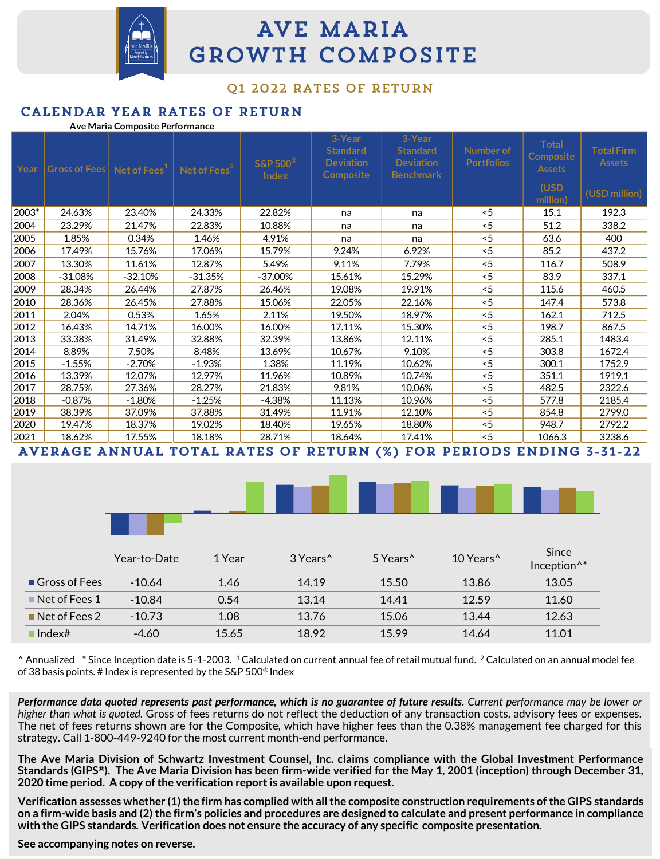

# **AVE MARIA GROWTH COMPOSITE**

#### 01 2022 RATES OF RETURN

#### CALENDAR YEAR RATES OF RETURN

#### **Ave Maria Composite Performance**

| Year  | $ G$ ross of Fees $ $ Net of Fees $^1$ |           | Net of Fees <sup>2</sup> | $S\&P 500^{\circledR}$<br><b>Index</b> | 3-Year<br><b>Standard</b><br><b>Deviation</b><br><b>Composite</b> | 3-Year<br><b>Standard</b><br><b>Deviation</b><br><b>Benchmark</b> | Number of<br><b>Portfolios</b> | <b>Total</b><br>Composite<br><b>Assets</b> | <b>Total Firm</b><br><b>Assets</b> |
|-------|----------------------------------------|-----------|--------------------------|----------------------------------------|-------------------------------------------------------------------|-------------------------------------------------------------------|--------------------------------|--------------------------------------------|------------------------------------|
|       |                                        |           |                          |                                        |                                                                   |                                                                   |                                | (USD<br>million)                           | (USD million)                      |
| 2003* | 24.63%                                 | 23.40%    | 24.33%                   | 22.82%                                 | na                                                                | na                                                                | $~<$ 5                         | 15.1                                       | 192.3                              |
| 2004  | 23.29%                                 | 21.47%    | 22.83%                   | 10.88%                                 | na                                                                | na                                                                | < 5                            | 51.2                                       | 338.2                              |
| 2005  | 1.85%                                  | 0.34%     | 1.46%                    | 4.91%                                  | na                                                                | na                                                                | < 5                            | 63.6                                       | 400                                |
| 2006  | 17.49%                                 | 15.76%    | 17.06%                   | 15.79%                                 | 9.24%                                                             | 6.92%                                                             | < 5                            | 85.2                                       | 437.2                              |
| 2007  | 13.30%                                 | 11.61%    | 12.87%                   | 5.49%                                  | 9.11%                                                             | 7.79%                                                             | < 5                            | 116.7                                      | 508.9                              |
| 2008  | $-31.08%$                              | $-32.10%$ | $-31.35%$                | $-37.00%$                              | 15.61%                                                            | 15.29%                                                            | < 5                            | 83.9                                       | 337.1                              |
| 2009  | 28.34%                                 | 26.44%    | 27.87%                   | 26.46%                                 | 19.08%                                                            | 19.91%                                                            | < 5                            | 115.6                                      | 460.5                              |
| 2010  | 28.36%                                 | 26.45%    | 27.88%                   | 15.06%                                 | 22.05%                                                            | 22.16%                                                            | < 5                            | 147.4                                      | 573.8                              |
| 2011  | 2.04%                                  | 0.53%     | 1.65%                    | 2.11%                                  | 19.50%                                                            | 18.97%                                                            | < 5                            | 162.1                                      | 712.5                              |
| 2012  | 16.43%                                 | 14.71%    | 16.00%                   | 16.00%                                 | 17.11%                                                            | 15.30%                                                            | < 5                            | 198.7                                      | 867.5                              |
| 2013  | 33.38%                                 | 31.49%    | 32.88%                   | 32.39%                                 | 13.86%                                                            | 12.11%                                                            | < 5                            | 285.1                                      | 1483.4                             |
| 2014  | 8.89%                                  | 7.50%     | 8.48%                    | 13.69%                                 | 10.67%                                                            | 9.10%                                                             | < 5                            | 303.8                                      | 1672.4                             |
| 2015  | $-1.55%$                               | $-2.70%$  | $-1.93%$                 | 1.38%                                  | 11.19%                                                            | 10.62%                                                            | < 5                            | 300.1                                      | 1752.9                             |
| 2016  | 13.39%                                 | 12.07%    | 12.97%                   | 11.96%                                 | 10.89%                                                            | 10.74%                                                            | < 5                            | 351.1                                      | 1919.1                             |
| 2017  | 28.75%                                 | 27.36%    | 28.27%                   | 21.83%                                 | 9.81%                                                             | 10.06%                                                            | < 5                            | 482.5                                      | 2322.6                             |
| 2018  | $-0.87%$                               | $-1.80%$  | $-1.25%$                 | -4.38%                                 | 11.13%                                                            | 10.96%                                                            | < 5                            | 577.8                                      | 2185.4                             |
| 2019  | 38.39%                                 | 37.09%    | 37.88%                   | 31.49%                                 | 11.91%                                                            | 12.10%                                                            | < 5                            | 854.8                                      | 2799.0                             |
| 2020  | 19.47%                                 | 18.37%    | 19.02%                   | 18.40%                                 | 19.65%                                                            | 18.80%                                                            | < 5                            | 948.7                                      | 2792.2                             |
| 2021  | 18.62%                                 | 17.55%    | 18.18%                   | 28.71%                                 | 18.64%                                                            | 17.41%                                                            | < 5                            | 1066.3                                     | 3238.6                             |
|       | <b>AITPRACE AMINITAT</b>               |           |                          |                                        |                                                                   | <b>TOTAL DATTS OF BETHOM /00 FOR BEBIODS FMBIMS 7</b>             |                                |                                            | רר דל                              |

AVERAGE ANNUAL TOTAL RATES OF RETURN (%) FOR PERIODS ENDING 3-31-22



|                              | Year-to-Date | 1 Year | 3 Years <sup>^</sup> | 5 Years <sup>^</sup> | 10 Years <sup>^</sup> | Since<br>Inception <sup>^*</sup> |
|------------------------------|--------------|--------|----------------------|----------------------|-----------------------|----------------------------------|
| Gross of Fees                | $-10.64$     | 1.46   | 14.19                | 15.50                | 13.86                 | 13.05                            |
| $\blacksquare$ Net of Fees 1 | $-10.84$     | 0.54   | 13.14                | 14.41                | 12.59                 | 11.60                            |
| $\blacksquare$ Net of Fees 2 | $-10.73$     | 1.08   | 13.76                | 15.06                | 13.44                 | 12.63                            |
| $\blacksquare$ Index#        | $-4.60$      | 15.65  | 18.92                | 15.99                | 14.64                 | 11.01                            |

 $^{\circ}$  Annualized  $^*$  Since Inception date is 5-1-2003. <sup>1</sup>Calculated on current annual fee of retail mutual fund. <sup>2</sup> Calculated on an annual model fee of 38 basis points. # Index is represented by the S&P 500® Index

Performance data quoted represents past performance, which is no guarantee of future results. Current performance may be lower or *higher than what is quoted.* Gross of fees returns do not reflect the deduction of any transaction costs, advisory fees or expenses. The net of fees returns shown are for the Composite, which have higher fees than the 0.38% management fee charged for this strategy. Call 1-800-449-9240 for the most current month-end performance.

The Ave Maria Division of Schwartz Investment Counsel, Inc. claims compliance with the Global Investment Performance Standards (GIPS®). The Ave Maria Division has been firm-wide verified for the May 1, 2001 (inception) through December 31, **2020 time period. A copy ofthe verification report is available upon request.**

Verification assesses whether (1) the firm has complied with all the composite construction requirements of the GIPS standards on a firm-wide basis and (2) the firm's policies and procedures are designed to calculate and present performance in compliance **with the GIPS standards. Verification does not ensure the accuracy of any specific composite presentation.**

**See accompanying notes on reverse.**